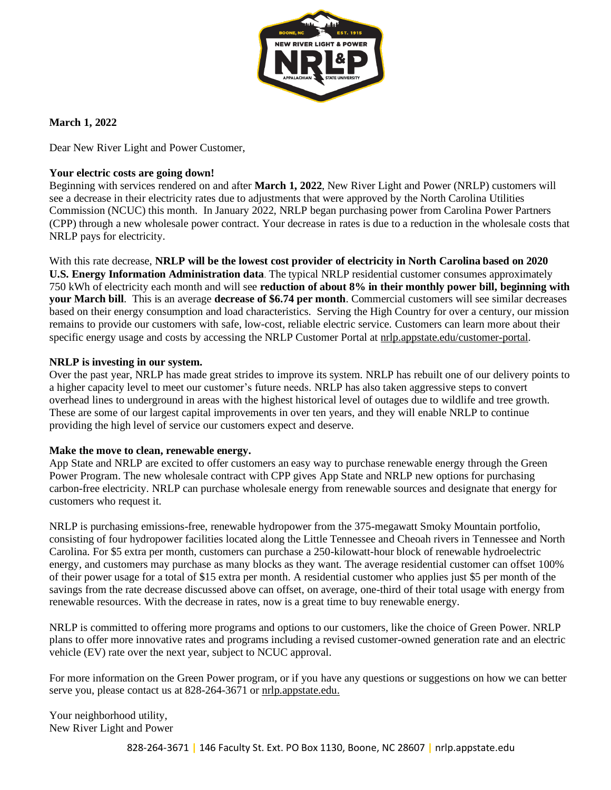

**March 1, 2022**

Dear New River Light and Power Customer,

### **Your electric costs are going down!**

Beginning with services rendered on and after **March 1, 2022**, New River Light and Power (NRLP) customers will see a decrease in their electricity rates due to adjustments that were approved by the North Carolina Utilities Commission (NCUC) this month. In January 2022, NRLP began purchasing power from Carolina Power Partners (CPP) through a new wholesale power contract. Your decrease in rates is due to a reduction in the wholesale costs that NRLP pays for electricity.

With this rate decrease, **NRLP will be the lowest cost provider of electricity in North Carolina based on 2020 U.S. Energy Information Administration data**. The typical NRLP residential customer consumes approximately 750 kWh of electricity each month and will see **reduction of about 8% in their monthly power bill, beginning with your March bill**. This is an average **decrease of \$6.74 per month**. Commercial customers will see similar decreases based on their energy consumption and load characteristics. Serving the High Country for over a century, our mission remains to provide our customers with safe, low-cost, reliable electric service. Customers can learn more about their specific energy usage and costs by accessing the NRLP Customer Portal at nrlp.appstate.edu/customer-portal.

#### **NRLP is investing in our system.**

Over the past year, NRLP has made great strides to improve its system. NRLP has rebuilt one of our delivery points to a higher capacity level to meet our customer's future needs. NRLP has also taken aggressive steps to convert overhead lines to underground in areas with the highest historical level of outages due to wildlife and tree growth. These are some of our largest capital improvements in over ten years, and they will enable NRLP to continue providing the high level of service our customers expect and deserve.

#### **Make the move to clean, renewable energy.**

App State and NRLP are excited to offer customers an easy way to purchase renewable energy through the Green Power Program. The new wholesale contract with CPP gives App State and NRLP new options for purchasing carbon-free electricity. NRLP can purchase wholesale energy from renewable sources and designate that energy for customers who request it.

NRLP is purchasing emissions-free, renewable hydropower from the 375-megawatt Smoky Mountain portfolio, consisting of four hydropower facilities located along the Little Tennessee and Cheoah rivers in Tennessee and North Carolina. For \$5 extra per month, customers can purchase a 250-kilowatt-hour block of renewable hydroelectric energy, and customers may purchase as many blocks as they want. The average residential customer can offset 100% of their power usage for a total of \$15 extra per month. A residential customer who applies just \$5 per month of the savings from the rate decrease discussed above can offset, on average, one-third of their total usage with energy from renewable resources. With the decrease in rates, now is a great time to buy renewable energy.

NRLP is committed to offering more programs and options to our customers, like the choice of Green Power. NRLP plans to offer more innovative rates and programs including a revised customer-owned generation rate and an electric vehicle (EV) rate over the next year, subject to NCUC approval.

For more information on the Green Power program, or if you have any questions or suggestions on how we can better serve you, please contact us at 828-264-3671 or  $nrlp.appstate.edu$ .

Your neighborhood utility, New River Light and Power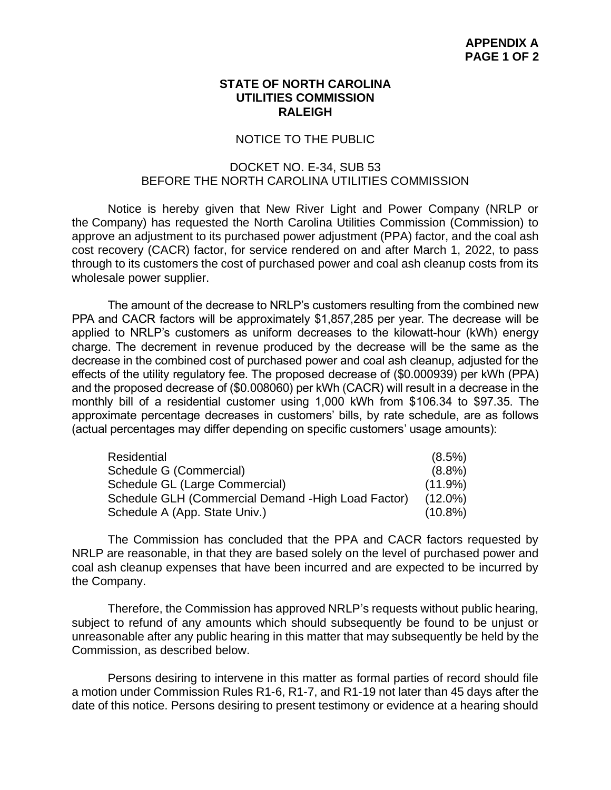## **STATE OF NORTH CAROLINA UTILITIES COMMISSION RALEIGH**

## NOTICE TO THE PUBLIC

# DOCKET NO. E-34, SUB 53 BEFORE THE NORTH CAROLINA UTILITIES COMMISSION

Notice is hereby given that New River Light and Power Company (NRLP or the Company) has requested the North Carolina Utilities Commission (Commission) to approve an adjustment to its purchased power adjustment (PPA) factor, and the coal ash cost recovery (CACR) factor, for service rendered on and after March 1, 2022, to pass through to its customers the cost of purchased power and coal ash cleanup costs from its wholesale power supplier.

The amount of the decrease to NRLP's customers resulting from the combined new PPA and CACR factors will be approximately \$1,857,285 per year. The decrease will be applied to NRLP's customers as uniform decreases to the kilowatt-hour (kWh) energy charge. The decrement in revenue produced by the decrease will be the same as the decrease in the combined cost of purchased power and coal ash cleanup, adjusted for the effects of the utility regulatory fee. The proposed decrease of (\$0.000939) per kWh (PPA) and the proposed decrease of (\$0.008060) per kWh (CACR) will result in a decrease in the monthly bill of a residential customer using 1,000 kWh from \$106.34 to \$97.35. The approximate percentage decreases in customers' bills, by rate schedule, are as follows (actual percentages may differ depending on specific customers' usage amounts):

| Residential                                        | $(8.5\%)$  |
|----------------------------------------------------|------------|
| Schedule G (Commercial)                            | $(8.8\%)$  |
| Schedule GL (Large Commercial)                     | $(11.9\%)$ |
| Schedule GLH (Commercial Demand -High Load Factor) | $(12.0\%)$ |
| Schedule A (App. State Univ.)                      | $(10.8\%)$ |

The Commission has concluded that the PPA and CACR factors requested by NRLP are reasonable, in that they are based solely on the level of purchased power and coal ash cleanup expenses that have been incurred and are expected to be incurred by the Company.

Therefore, the Commission has approved NRLP's requests without public hearing, subject to refund of any amounts which should subsequently be found to be unjust or unreasonable after any public hearing in this matter that may subsequently be held by the Commission, as described below.

Persons desiring to intervene in this matter as formal parties of record should file a motion under Commission Rules R1-6, R1-7, and R1-19 not later than 45 days after the date of this notice. Persons desiring to present testimony or evidence at a hearing should